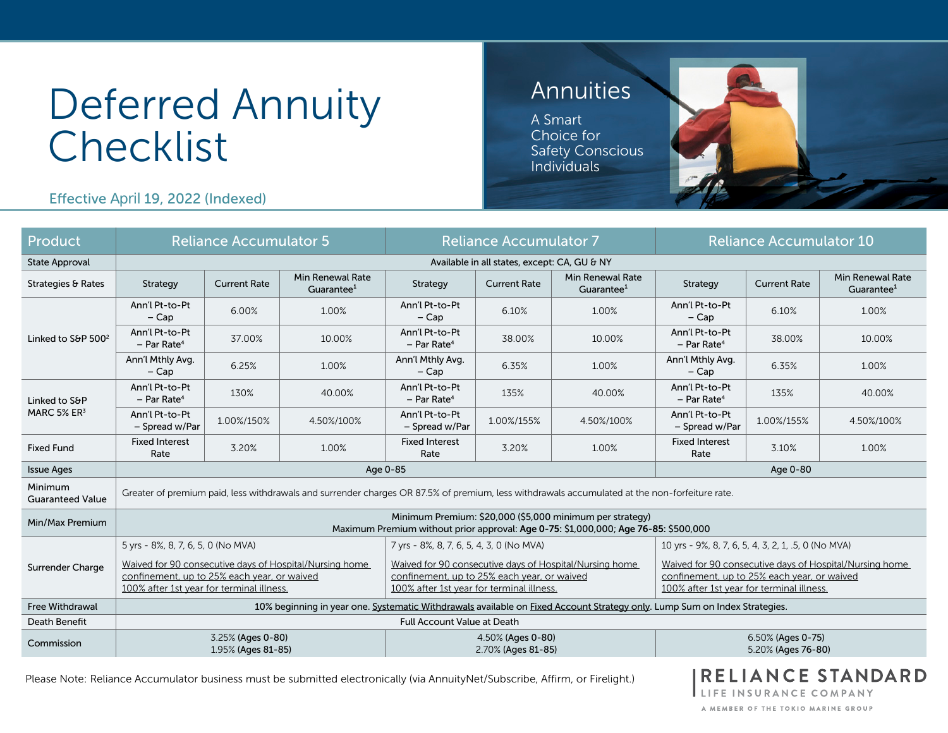# Deferred Annuity **Checklist**

## Annuities

A Smart Choice for Safety Conscious Individuals



Effective April 19, 2022 (Indexed)

| Product                                  | <b>Reliance Accumulator 5</b>                                                                                                                       |                     |                                            |                                                                                                                                                     | <b>Reliance Accumulator 7</b> |                                            | <b>Reliance Accumulator 10</b>                                                                                                                      |                     |                                            |  |  |
|------------------------------------------|-----------------------------------------------------------------------------------------------------------------------------------------------------|---------------------|--------------------------------------------|-----------------------------------------------------------------------------------------------------------------------------------------------------|-------------------------------|--------------------------------------------|-----------------------------------------------------------------------------------------------------------------------------------------------------|---------------------|--------------------------------------------|--|--|
| <b>State Approval</b>                    | Available in all states, except: CA, GU & NY                                                                                                        |                     |                                            |                                                                                                                                                     |                               |                                            |                                                                                                                                                     |                     |                                            |  |  |
| Strategies & Rates                       | Strategy                                                                                                                                            | <b>Current Rate</b> | Min Renewal Rate<br>Guarantee <sup>1</sup> | Strategy                                                                                                                                            | <b>Current Rate</b>           | Min Renewal Rate<br>Guarantee <sup>1</sup> | Strategy                                                                                                                                            | <b>Current Rate</b> | Min Renewal Rate<br>Guarantee <sup>1</sup> |  |  |
| Linked to S&P 500 <sup>2</sup>           | Ann'l Pt-to-Pt<br>$-$ Cap                                                                                                                           | 6.00%               | 1.00%                                      | Ann'l Pt-to-Pt<br>$-$ Cap                                                                                                                           | 6.10%<br>1.00%                |                                            | Ann'l Pt-to-Pt<br>$-$ Cap                                                                                                                           | 6.10%               | 1.00%                                      |  |  |
|                                          | Ann'l Pt-to-Pt<br>$-$ Par Rate <sup>4</sup>                                                                                                         | 37.00%              | 10.00%                                     | Ann'l Pt-to-Pt<br>$-$ Par Rate <sup>4</sup>                                                                                                         | 38.00%                        | 10.00%                                     | Ann'l Pt-to-Pt<br>$-$ Par Rate <sup>4</sup>                                                                                                         | 38.00%              | 10.00%                                     |  |  |
|                                          | Ann'l Mthly Avg.<br>$-$ Cap                                                                                                                         | 6.25%               | 1.00%                                      | Ann'l Mthly Avg.<br>$-$ Cap                                                                                                                         | 6.35%                         | 1.00%                                      | Ann'l Mthly Avg.<br>$-Cap$                                                                                                                          | 6.35%               | 1.00%                                      |  |  |
| Linked to S&P<br>MARC 5% ER <sup>3</sup> | Ann'l Pt-to-Pt<br>$-$ Par Rate <sup>4</sup>                                                                                                         | 130%                | 40.00%                                     | Ann'l Pt-to-Pt<br>$-$ Par Rate <sup>4</sup>                                                                                                         | 135%                          | 40.00%                                     | Ann'l Pt-to-Pt<br>$-$ Par Rate <sup>4</sup>                                                                                                         | 135%                | 40.00%                                     |  |  |
|                                          | Ann'l Pt-to-Pt<br>- Spread w/Par                                                                                                                    | 1.00%/150%          | 4.50%/100%                                 | Ann'l Pt-to-Pt<br>- Spread w/Par                                                                                                                    | 1.00%/155%                    | 4.50%/100%                                 | Ann'l Pt-to-Pt<br>- Spread w/Par                                                                                                                    | 1.00%/155%          | 4.50%/100%                                 |  |  |
| <b>Fixed Fund</b>                        | <b>Fixed Interest</b><br>Rate                                                                                                                       | 3.20%               | 1.00%                                      | <b>Fixed Interest</b><br>Rate                                                                                                                       | 3.20%                         | 1.00%                                      | <b>Fixed Interest</b><br>Rate                                                                                                                       | 3.10%               | 1.00%                                      |  |  |
| <b>Issue Ages</b>                        | Age 0-85                                                                                                                                            |                     |                                            |                                                                                                                                                     |                               |                                            |                                                                                                                                                     | Age 0-80            |                                            |  |  |
| Minimum<br><b>Guaranteed Value</b>       | Greater of premium paid, less withdrawals and surrender charges OR 87.5% of premium, less withdrawals accumulated at the non-forfeiture rate.       |                     |                                            |                                                                                                                                                     |                               |                                            |                                                                                                                                                     |                     |                                            |  |  |
| Min/Max Premium                          | Minimum Premium: \$20,000 (\$5,000 minimum per strategy)<br>Maximum Premium without prior approval: Age 0-75: \$1,000,000; Age 76-85: \$500,000     |                     |                                            |                                                                                                                                                     |                               |                                            |                                                                                                                                                     |                     |                                            |  |  |
|                                          | 5 yrs - 8%, 8, 7, 6, 5, 0 (No MVA)                                                                                                                  |                     |                                            | 7 yrs - 8%, 8, 7, 6, 5, 4, 3, 0 (No MVA)                                                                                                            |                               |                                            | 10 yrs - 9%, 8, 7, 6, 5, 4, 3, 2, 1, .5, 0 (No MVA)                                                                                                 |                     |                                            |  |  |
| Surrender Charge                         | Waived for 90 consecutive days of Hospital/Nursing home<br>confinement, up to 25% each year, or waived<br>100% after 1st year for terminal illness. |                     |                                            | Waived for 90 consecutive days of Hospital/Nursing home<br>confinement, up to 25% each year, or waived<br>100% after 1st year for terminal illness. |                               |                                            | Waived for 90 consecutive days of Hospital/Nursing home<br>confinement, up to 25% each year, or waived<br>100% after 1st year for terminal illness. |                     |                                            |  |  |
| <b>Free Withdrawal</b>                   | 10% beginning in year one. Systematic Withdrawals available on Fixed Account Strategy only. Lump Sum on Index Strategies.                           |                     |                                            |                                                                                                                                                     |                               |                                            |                                                                                                                                                     |                     |                                            |  |  |
| Death Benefit                            | <b>Full Account Value at Death</b>                                                                                                                  |                     |                                            |                                                                                                                                                     |                               |                                            |                                                                                                                                                     |                     |                                            |  |  |
| Commission                               | 3.25% (Ages 0-80)<br>1.95% (Ages 81-85)                                                                                                             |                     |                                            | 4.50% (Ages 0-80)<br>2.70% (Ages 81-85)                                                                                                             |                               |                                            | 6.50% (Ages 0-75)<br>5.20% (Ages 76-80)                                                                                                             |                     |                                            |  |  |

Please Note: Reliance Accumulator business must be submitted electronically (via AnnuityNet/Subscribe, Affirm, or Firelight.)

**RELIANCE STANDARD** FE INSURANCE COMPANY

A MEMBER OF THE TOKIO MARINE GROUP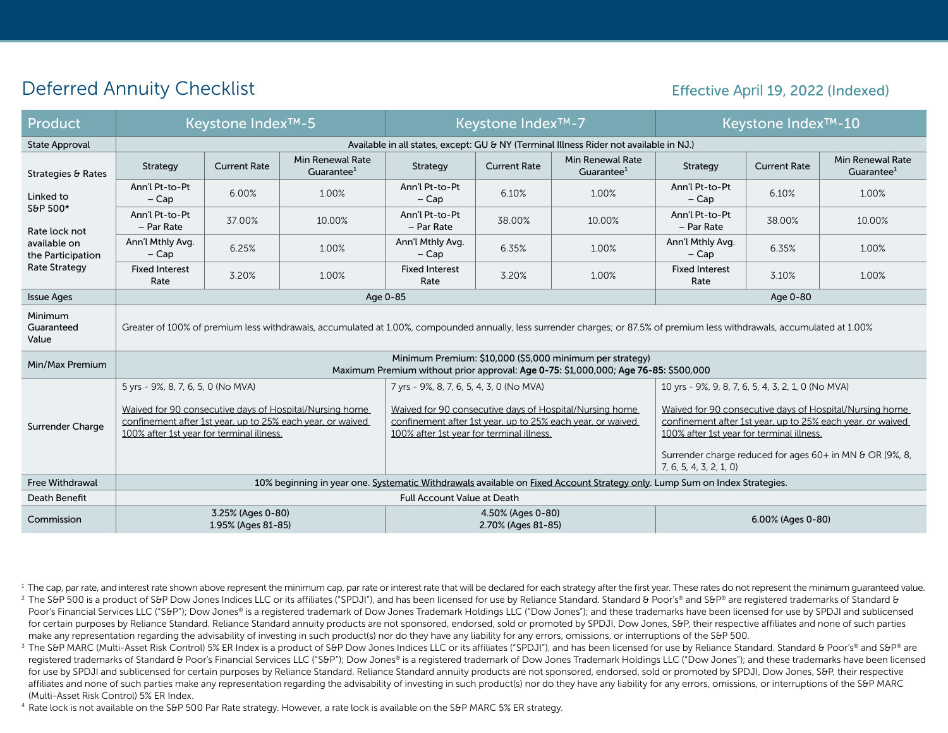### Deferred Annuity Checklist

#### Effective April 19, 2022 (Indexed)

| Product                                                                                                                   | <b>Keystone Index™-5</b>                                                                                                                                                   |                                         |                                                                                                                       |                                                                                                                                                                    | <b>Keystone Index<sup>™-7</sup></b>     |                                            | Keystone Index™-10                                                                                                                                                                                                             |                     |                                            |  |  |
|---------------------------------------------------------------------------------------------------------------------------|----------------------------------------------------------------------------------------------------------------------------------------------------------------------------|-----------------------------------------|-----------------------------------------------------------------------------------------------------------------------|--------------------------------------------------------------------------------------------------------------------------------------------------------------------|-----------------------------------------|--------------------------------------------|--------------------------------------------------------------------------------------------------------------------------------------------------------------------------------------------------------------------------------|---------------------|--------------------------------------------|--|--|
| <b>State Approval</b>                                                                                                     | Available in all states, except: GU & NY (Terminal Illness Rider not available in NJ.)                                                                                     |                                         |                                                                                                                       |                                                                                                                                                                    |                                         |                                            |                                                                                                                                                                                                                                |                     |                                            |  |  |
| Strategies & Rates<br>Linked to<br>S&P 500*<br>Rate lock not<br>available on<br>the Participation<br><b>Rate Strategy</b> | Strategy                                                                                                                                                                   | <b>Current Rate</b>                     | Min Renewal Rate<br>Guarantee <sup>1</sup>                                                                            | Strategy                                                                                                                                                           | <b>Current Rate</b>                     | Min Renewal Rate<br>Guarantee <sup>1</sup> | Strategy                                                                                                                                                                                                                       | <b>Current Rate</b> | Min Renewal Rate<br>Guarantee <sup>1</sup> |  |  |
|                                                                                                                           | Ann'l Pt-to-Pt<br>$-Cap$                                                                                                                                                   | 6.00%                                   | 1.00%                                                                                                                 | Ann'l Pt-to-Pt<br>$-$ Cap                                                                                                                                          | 6.10%<br>1.00%                          |                                            | Ann'l Pt-to-Pt<br>$-Cap$                                                                                                                                                                                                       | 6.10%               | 1.00%                                      |  |  |
|                                                                                                                           | Ann'l Pt-to-Pt<br>- Par Rate                                                                                                                                               | 37.00%                                  | 10.00%                                                                                                                | Ann'l Pt-to-Pt<br>- Par Rate                                                                                                                                       | 38.00%                                  | 10.00%                                     | Ann'l Pt-to-Pt<br>- Par Rate                                                                                                                                                                                                   | 38.00%              | 10.00%                                     |  |  |
|                                                                                                                           | Ann'l Mthly Avg.<br>$-Cap$                                                                                                                                                 | 6.25%                                   | 1.00%                                                                                                                 | Ann'l Mthly Avg.<br>$-Cap$                                                                                                                                         | 6.35%                                   | 1.00%                                      | Ann'l Mthly Avg.<br>$-Cap$                                                                                                                                                                                                     | 6.35%               | 1.00%                                      |  |  |
|                                                                                                                           | <b>Fixed Interest</b><br>Rate                                                                                                                                              | 3.20%                                   | 1.00%                                                                                                                 | <b>Fixed Interest</b><br>Rate                                                                                                                                      | 3.20%                                   | 1.00%                                      | <b>Fixed Interest</b><br>Rate                                                                                                                                                                                                  | 3.10%               | 1.00%                                      |  |  |
| <b>Issue Ages</b>                                                                                                         | Age 0-85                                                                                                                                                                   |                                         |                                                                                                                       |                                                                                                                                                                    |                                         |                                            |                                                                                                                                                                                                                                | Age 0-80            |                                            |  |  |
| Minimum<br>Guaranteed<br>Value                                                                                            | Greater of 100% of premium less withdrawals, accumulated at 1.00%, compounded annually, less surrender charges; or 87.5% of premium less withdrawals, accumulated at 1.00% |                                         |                                                                                                                       |                                                                                                                                                                    |                                         |                                            |                                                                                                                                                                                                                                |                     |                                            |  |  |
| Min/Max Premium                                                                                                           | Minimum Premium: \$10,000 (\$5,000 minimum per strategy)<br>Maximum Premium without prior approval: Age 0-75: \$1,000,000; Age 76-85: \$500,000                            |                                         |                                                                                                                       |                                                                                                                                                                    |                                         |                                            |                                                                                                                                                                                                                                |                     |                                            |  |  |
|                                                                                                                           | 5 yrs - 9%, 8, 7, 6, 5, 0 (No MVA)                                                                                                                                         |                                         |                                                                                                                       | 7 yrs - 9%, 8, 7, 6, 5, 4, 3, 0 (No MVA)                                                                                                                           |                                         |                                            | 10 yrs - 9%, 9, 8, 7, 6, 5, 4, 3, 2, 1, 0 (No MVA)                                                                                                                                                                             |                     |                                            |  |  |
| Surrender Charge                                                                                                          | 100% after 1st year for terminal illness.                                                                                                                                  |                                         | Waived for 90 consecutive days of Hospital/Nursing home<br>confinement after 1st year, up to 25% each year, or waived | Waived for 90 consecutive days of Hospital/Nursing home<br>confinement after 1st year, up to 25% each year, or waived<br>100% after 1st year for terminal illness. |                                         |                                            | Waived for 90 consecutive days of Hospital/Nursing home<br>confinement after 1st year, up to 25% each year, or waived<br>100% after 1st year for terminal illness.<br>Surrender charge reduced for ages 60+ in MN & OR (9%, 8, |                     |                                            |  |  |
|                                                                                                                           |                                                                                                                                                                            |                                         |                                                                                                                       |                                                                                                                                                                    |                                         |                                            | 7, 6, 5, 4, 3, 2, 1, 0                                                                                                                                                                                                         |                     |                                            |  |  |
| <b>Free Withdrawal</b>                                                                                                    | 10% beginning in year one. Systematic Withdrawals available on Fixed Account Strategy only. Lump Sum on Index Strategies.                                                  |                                         |                                                                                                                       |                                                                                                                                                                    |                                         |                                            |                                                                                                                                                                                                                                |                     |                                            |  |  |
| Death Benefit                                                                                                             | <b>Full Account Value at Death</b>                                                                                                                                         |                                         |                                                                                                                       |                                                                                                                                                                    |                                         |                                            |                                                                                                                                                                                                                                |                     |                                            |  |  |
| Commission                                                                                                                |                                                                                                                                                                            | 3.25% (Ages 0-80)<br>1.95% (Ages 81-85) |                                                                                                                       |                                                                                                                                                                    | 4.50% (Ages 0-80)<br>2.70% (Ages 81-85) |                                            | 6.00% (Ages 0-80)                                                                                                                                                                                                              |                     |                                            |  |  |

<sup>1</sup> The cap, par rate, and interest rate shown above represent the minimum cap, par rate or interest rate that will be declared for each strategy after the first year. These rates do not represent the minimum guaranteed va

- <sup>2</sup> The S&P 500 is a product of S&P Dow Jones Indices LLC or its affiliates ("SPDJI"), and has been licensed for use by Reliance Standard. Standard & Poor's® and S&P® are registered trademarks of Standard & Poor's Financial Services LLC ("S&P"); Dow Jones® is a registered trademark of Dow Jones Trademark Holdings LLC ("Dow Jones"); and these trademarks have been licensed for use by SPDJI and sublicensed for certain purposes by Reliance Standard. Reliance Standard annuity products are not sponsored, endorsed, sold or promoted by SPDJI, Dow Jones, S&P, their respective affiliates and none of such parties make any representation regarding the advisability of investing in such product(s) nor do they have any liability for any errors, omissions, or interruptions of the S&P 500.
- <sup>3</sup> The S&P MARC (Multi-Asset Risk Control) 5% ER Index is a product of S&P Dow Jones Indices LLC or its affiliates ("SPDJI"), and has been licensed for use by Reliance Standard. Standard & Poor's® and S&P® are registered trademarks of Standard & Poor's Financial Services LLC ("S&P"); Dow Jones® is a registered trademark of Dow Jones Trademark Holdings LLC ("Dow Jones"); and these trademarks have been licensed for use by SPDJI and sublicensed for certain purposes by Reliance Standard. Reliance Standard annuity products are not sponsored, endorsed, sold or promoted by SPDJI, Dow Jones, S&P, their respective affiliates and none of such parties make any representation regarding the advisability of investing in such product(s) nor do they have any liability for any errors, omissions, or interruptions of the S&P MARC (Multi-Asset Risk Control) 5% ER Index.

<sup>4</sup> Rate lock is not available on the S&P 500 Par Rate strategy. However, a rate lock is available on the S&P MARC 5% ER strategy.